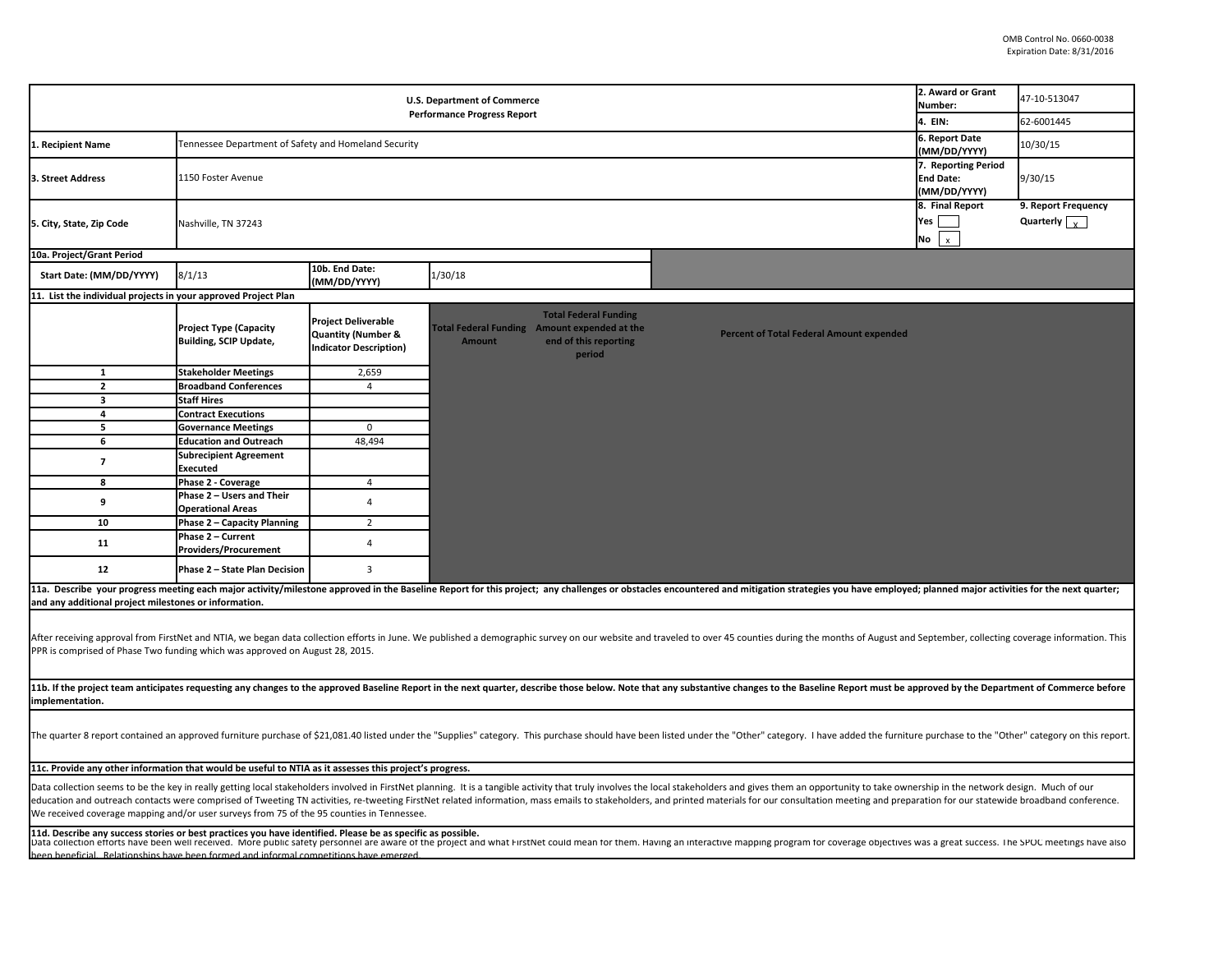| <b>U.S. Department of Commerce</b><br><b>Performance Progress Report</b>                                                                                                                                                                                                                                                                                                                                                                                                                                                                                      |                                                         |                                                                                              |                                                               |                                                                 |                                                                                                                                                                                                                                |                                                | 47-10-513047<br>62-6001445                  |  |  |  |
|---------------------------------------------------------------------------------------------------------------------------------------------------------------------------------------------------------------------------------------------------------------------------------------------------------------------------------------------------------------------------------------------------------------------------------------------------------------------------------------------------------------------------------------------------------------|---------------------------------------------------------|----------------------------------------------------------------------------------------------|---------------------------------------------------------------|-----------------------------------------------------------------|--------------------------------------------------------------------------------------------------------------------------------------------------------------------------------------------------------------------------------|------------------------------------------------|---------------------------------------------|--|--|--|
| Tennessee Department of Safety and Homeland Security<br>1. Recipient Name                                                                                                                                                                                                                                                                                                                                                                                                                                                                                     |                                                         |                                                                                              |                                                               |                                                                 |                                                                                                                                                                                                                                |                                                | 10/30/15                                    |  |  |  |
| 3. Street Address                                                                                                                                                                                                                                                                                                                                                                                                                                                                                                                                             | 1150 Foster Avenue                                      | (MM/DD/YYYY)<br>7. Reporting Period<br><b>End Date:</b><br>(MM/DD/YYYY)                      | 9/30/15                                                       |                                                                 |                                                                                                                                                                                                                                |                                                |                                             |  |  |  |
| 5. City, State, Zip Code                                                                                                                                                                                                                                                                                                                                                                                                                                                                                                                                      | Nashville, TN 37243                                     |                                                                                              |                                                               |                                                                 |                                                                                                                                                                                                                                | 8. Final Report<br>Yes  <br>No<br>$\mathsf{x}$ | 9. Report Frequency<br>Quarterly $\sqrt{ }$ |  |  |  |
| 10a. Project/Grant Period                                                                                                                                                                                                                                                                                                                                                                                                                                                                                                                                     |                                                         |                                                                                              |                                                               |                                                                 |                                                                                                                                                                                                                                |                                                |                                             |  |  |  |
| Start Date: (MM/DD/YYYY)                                                                                                                                                                                                                                                                                                                                                                                                                                                                                                                                      | 8/1/13                                                  | 10b. End Date:<br>(MM/DD/YYYY)                                                               | 1/30/18                                                       |                                                                 |                                                                                                                                                                                                                                |                                                |                                             |  |  |  |
| 11. List the individual projects in your approved Project Plan                                                                                                                                                                                                                                                                                                                                                                                                                                                                                                |                                                         |                                                                                              |                                                               |                                                                 |                                                                                                                                                                                                                                |                                                |                                             |  |  |  |
|                                                                                                                                                                                                                                                                                                                                                                                                                                                                                                                                                               | <b>Project Type (Capacity</b><br>Building, SCIP Update, | <b>Project Deliverable</b><br><b>Quantity (Number &amp;</b><br><b>Indicator Description)</b> | Total Federal Funding Amount expended at the<br><b>Amount</b> | <b>Total Federal Funding</b><br>end of this reporting<br>period | <b>Percent of Total Federal Amount expended</b>                                                                                                                                                                                |                                                |                                             |  |  |  |
| $\mathbf{1}$                                                                                                                                                                                                                                                                                                                                                                                                                                                                                                                                                  | <b>Stakeholder Meetings</b>                             | 2,659                                                                                        |                                                               |                                                                 |                                                                                                                                                                                                                                |                                                |                                             |  |  |  |
| $\mathbf{2}$                                                                                                                                                                                                                                                                                                                                                                                                                                                                                                                                                  | <b>Broadband Conferences</b>                            | $\overline{4}$                                                                               |                                                               |                                                                 |                                                                                                                                                                                                                                |                                                |                                             |  |  |  |
| 3                                                                                                                                                                                                                                                                                                                                                                                                                                                                                                                                                             | <b>Staff Hires</b>                                      |                                                                                              |                                                               |                                                                 |                                                                                                                                                                                                                                |                                                |                                             |  |  |  |
| 4                                                                                                                                                                                                                                                                                                                                                                                                                                                                                                                                                             | <b>Contract Executions</b>                              |                                                                                              |                                                               |                                                                 |                                                                                                                                                                                                                                |                                                |                                             |  |  |  |
| 5                                                                                                                                                                                                                                                                                                                                                                                                                                                                                                                                                             | <b>Governance Meetings</b>                              | 0                                                                                            |                                                               |                                                                 |                                                                                                                                                                                                                                |                                                |                                             |  |  |  |
| 6                                                                                                                                                                                                                                                                                                                                                                                                                                                                                                                                                             | <b>Education and Outreach</b>                           | 48,494                                                                                       |                                                               |                                                                 |                                                                                                                                                                                                                                |                                                |                                             |  |  |  |
| $\overline{\mathbf{z}}$                                                                                                                                                                                                                                                                                                                                                                                                                                                                                                                                       | <b>Subrecipient Agreement</b><br>Executed               |                                                                                              |                                                               |                                                                 |                                                                                                                                                                                                                                |                                                |                                             |  |  |  |
| 8                                                                                                                                                                                                                                                                                                                                                                                                                                                                                                                                                             | Phase 2 - Coverage                                      | $\overline{4}$                                                                               |                                                               |                                                                 |                                                                                                                                                                                                                                |                                                |                                             |  |  |  |
| 9                                                                                                                                                                                                                                                                                                                                                                                                                                                                                                                                                             | Phase 2 - Users and Their<br><b>Operational Areas</b>   | 4                                                                                            |                                                               |                                                                 |                                                                                                                                                                                                                                |                                                |                                             |  |  |  |
| 10                                                                                                                                                                                                                                                                                                                                                                                                                                                                                                                                                            | Phase 2 - Capacity Planning                             | $\overline{2}$                                                                               |                                                               |                                                                 |                                                                                                                                                                                                                                |                                                |                                             |  |  |  |
| 11                                                                                                                                                                                                                                                                                                                                                                                                                                                                                                                                                            | Phase 2 - Current<br>Providers/Procurement              | $\overline{4}$                                                                               |                                                               |                                                                 |                                                                                                                                                                                                                                |                                                |                                             |  |  |  |
| 12                                                                                                                                                                                                                                                                                                                                                                                                                                                                                                                                                            | Phase 2 - State Plan Decision                           | 3                                                                                            |                                                               |                                                                 |                                                                                                                                                                                                                                |                                                |                                             |  |  |  |
| and any additional project milestones or information.                                                                                                                                                                                                                                                                                                                                                                                                                                                                                                         |                                                         |                                                                                              |                                                               |                                                                 | 11a. Describe your progress meeting each major activity/milestone approved in the Baseline Report for this project; any challenges or obstacles encountered and mitigation strategies you have employed; planned major activit |                                                |                                             |  |  |  |
| After receiving approval from FirstNet and NTIA, we began data collection efforts in June. We published a demographic survey on our website and traveled to over 45 counties during the months of August and September, collec<br>PPR is comprised of Phase Two funding which was approved on August 28, 2015.                                                                                                                                                                                                                                                |                                                         |                                                                                              |                                                               |                                                                 |                                                                                                                                                                                                                                |                                                |                                             |  |  |  |
| 11b. If the project team anticipates requesting any changes to the approved Baseline Report in the next quarter, describe those below. Note that any substantive changes to the Baseline Report must be approved by the Depart<br>implementation.                                                                                                                                                                                                                                                                                                             |                                                         |                                                                                              |                                                               |                                                                 |                                                                                                                                                                                                                                |                                                |                                             |  |  |  |
| The quarter 8 report contained an approved furniture purchase of \$21,081.40 listed under the "Supplies" category. This purchase should have been listed under the "Other" category. I have added the furniture purchase to the                                                                                                                                                                                                                                                                                                                               |                                                         |                                                                                              |                                                               |                                                                 |                                                                                                                                                                                                                                |                                                |                                             |  |  |  |
| 11c. Provide any other information that would be useful to NTIA as it assesses this project's progress.                                                                                                                                                                                                                                                                                                                                                                                                                                                       |                                                         |                                                                                              |                                                               |                                                                 |                                                                                                                                                                                                                                |                                                |                                             |  |  |  |
| Data collection seems to be the key in really getting local stakeholders involved in FirstNet planning. It is a tangible activity that truly involves the local stakeholders and gives them an opportunity to take ownership i<br>education and outreach contacts were comprised of Tweeting TN activities, re-tweeting FirstNet related information, mass emails to stakeholders, and printed materials for our consultation meeting and preparation for our st<br>We received coverage mapping and/or user surveys from 75 of the 95 counties in Tennessee. |                                                         |                                                                                              |                                                               |                                                                 |                                                                                                                                                                                                                                |                                                |                                             |  |  |  |
| 11d. Describe any success stories or best practices you have identified. Please be as specific as possible.<br>Data collection efforts have been well received. More public safety personnel are aware of the project and what FirstNet could mean for them. Having an interactive mapping program for coverage objectives was a great succes                                                                                                                                                                                                                 |                                                         |                                                                                              |                                                               |                                                                 |                                                                                                                                                                                                                                |                                                |                                             |  |  |  |
| been beneficial Relationshins have been formed and informal competitions have emerged                                                                                                                                                                                                                                                                                                                                                                                                                                                                         |                                                         |                                                                                              |                                                               |                                                                 |                                                                                                                                                                                                                                |                                                |                                             |  |  |  |